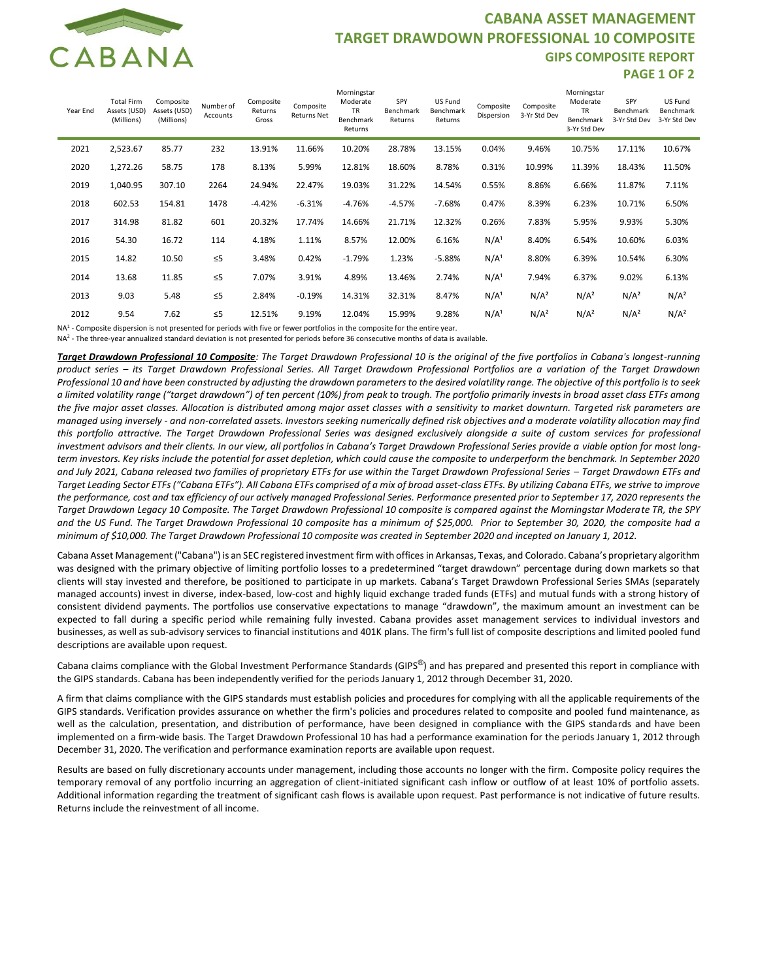

## **CABANA ASSET MANAGEMENT TARGET DRAWDOWN PROFESSIONAL 10 COMPOSITE GIPS COMPOSITE REPORT PAGE 1 OF 2**

| Year End | <b>Total Firm</b><br>Assets (USD)<br>(Millions) | Composite<br>Assets (USD)<br>(Millions) | Number of<br>Accounts | Composite<br>Returns<br>Gross | Composite<br><b>Returns Net</b> | Morningstar<br>Moderate<br><b>TR</b><br>Benchmark<br>Returns | SPY<br>Benchmark<br>Returns | US Fund<br>Benchmark<br>Returns | Composite<br>Dispersion | Composite<br>3-Yr Std Dev | Morningstar<br>Moderate<br><b>TR</b><br>Benchmark<br>3-Yr Std Dev | SPY<br>Benchmark<br>3-Yr Std Dev | US Fund<br>Benchmark<br>3-Yr Std Dev |
|----------|-------------------------------------------------|-----------------------------------------|-----------------------|-------------------------------|---------------------------------|--------------------------------------------------------------|-----------------------------|---------------------------------|-------------------------|---------------------------|-------------------------------------------------------------------|----------------------------------|--------------------------------------|
| 2021     | 2,523.67                                        | 85.77                                   | 232                   | 13.91%                        | 11.66%                          | 10.20%                                                       | 28.78%                      | 13.15%                          | 0.04%                   | 9.46%                     | 10.75%                                                            | 17.11%                           | 10.67%                               |
| 2020     | 1,272.26                                        | 58.75                                   | 178                   | 8.13%                         | 5.99%                           | 12.81%                                                       | 18.60%                      | 8.78%                           | 0.31%                   | 10.99%                    | 11.39%                                                            | 18.43%                           | 11.50%                               |
| 2019     | 1,040.95                                        | 307.10                                  | 2264                  | 24.94%                        | 22.47%                          | 19.03%                                                       | 31.22%                      | 14.54%                          | 0.55%                   | 8.86%                     | 6.66%                                                             | 11.87%                           | 7.11%                                |
| 2018     | 602.53                                          | 154.81                                  | 1478                  | $-4.42%$                      | $-6.31%$                        | $-4.76%$                                                     | $-4.57%$                    | $-7.68%$                        | 0.47%                   | 8.39%                     | 6.23%                                                             | 10.71%                           | 6.50%                                |
| 2017     | 314.98                                          | 81.82                                   | 601                   | 20.32%                        | 17.74%                          | 14.66%                                                       | 21.71%                      | 12.32%                          | 0.26%                   | 7.83%                     | 5.95%                                                             | 9.93%                            | 5.30%                                |
| 2016     | 54.30                                           | 16.72                                   | 114                   | 4.18%                         | 1.11%                           | 8.57%                                                        | 12.00%                      | 6.16%                           | N/A <sup>1</sup>        | 8.40%                     | 6.54%                                                             | 10.60%                           | 6.03%                                |
| 2015     | 14.82                                           | 10.50                                   | $\leq 5$              | 3.48%                         | 0.42%                           | $-1.79%$                                                     | 1.23%                       | $-5.88%$                        | N/A <sup>1</sup>        | 8.80%                     | 6.39%                                                             | 10.54%                           | 6.30%                                |
| 2014     | 13.68                                           | 11.85                                   | $\leq 5$              | 7.07%                         | 3.91%                           | 4.89%                                                        | 13.46%                      | 2.74%                           | N/A <sup>1</sup>        | 7.94%                     | 6.37%                                                             | 9.02%                            | 6.13%                                |
| 2013     | 9.03                                            | 5.48                                    | $\leq 5$              | 2.84%                         | $-0.19%$                        | 14.31%                                                       | 32.31%                      | 8.47%                           | N/A <sup>1</sup>        | N/A <sup>2</sup>          | N/A <sup>2</sup>                                                  | N/A <sup>2</sup>                 | N/A <sup>2</sup>                     |
| 2012     | 9.54                                            | 7.62                                    | $\leq 5$              | 12.51%                        | 9.19%                           | 12.04%                                                       | 15.99%                      | 9.28%                           | N/A <sup>1</sup>        | N/A <sup>2</sup>          | N/A <sup>2</sup>                                                  | N/A <sup>2</sup>                 | N/A <sup>2</sup>                     |

NA<sup>1</sup> - Composite dispersion is not presented for periods with five or fewer portfolios in the composite for the entire year.

NA2 - The three-year annualized standard deviation is not presented for periods before 36 consecutive months of data is available.

*Target Drawdown Professional 10 Composite: The Target Drawdown Professional 10 is the original of the five portfolios in Cabana's longest-running product series – its Target Drawdown Professional Series. All Target Drawdown Professional Portfolios are a variation of the Target Drawdown Professional 10 and have been constructed by adjusting the drawdown parameters to the desired volatility range. The objective of this portfolio is to seek a limited volatility range ("target drawdown") of ten percent (10%) from peak to trough. The portfolio primarily invests in broad asset class ETFs among the five major asset classes. Allocation is distributed among major asset classes with a sensitivity to market downturn. Targeted risk parameters are managed using inversely - and non-correlated assets. Investors seeking numerically defined risk objectives and a moderate volatility allocation may find this portfolio attractive. The Target Drawdown Professional Series was designed exclusively alongside a suite of custom services for professional*  investment advisors and their clients. In our view, all portfolios in Cabana's Target Drawdown Professional Series provide a viable option for most long*term investors. Key risks include the potential for asset depletion, which could cause the composite to underperform the benchmark. In September 2020 and July 2021, Cabana released two families of proprietary ETFs for use within the Target Drawdown Professional Series – Target Drawdown ETFs and Target Leading Sector ETFs ("Cabana ETFs"). All Cabana ETFs comprised of a mix of broad asset-class ETFs. By utilizing Cabana ETFs, we strive to improve the performance, cost and tax efficiency of our actively managed Professional Series. Performance presented prior to September 17, 2020 represents the Target Drawdown Legacy 10 Composite. The Target Drawdown Professional 10 composite is compared against the Morningstar Moderate TR, the SPY and the US Fund. The Target Drawdown Professional 10 composite has a minimum of \$25,000. Prior to September 30, 2020, the composite had a minimum of \$10,000. The Target Drawdown Professional 10 composite was created in September 2020 and incepted on January 1, 2012.*

Cabana Asset Management ("Cabana") is an SEC registered investment firm with offices in Arkansas, Texas, and Colorado. Cabana's proprietary algorithm was designed with the primary objective of limiting portfolio losses to a predetermined "target drawdown" percentage during down markets so that clients will stay invested and therefore, be positioned to participate in up markets. Cabana's Target Drawdown Professional Series SMAs (separately managed accounts) invest in diverse, index-based, low-cost and highly liquid exchange traded funds (ETFs) and mutual funds with a strong history of consistent dividend payments. The portfolios use conservative expectations to manage "drawdown", the maximum amount an investment can be expected to fall during a specific period while remaining fully invested. Cabana provides asset management services to individual investors and businesses, as well as sub-advisory services to financial institutions and 401K plans. The firm's full list of composite descriptions and limited pooled fund descriptions are available upon request.

Cabana claims compliance with the Global Investment Performance Standards (GIPS®) and has prepared and presented this report in compliance with the GIPS standards. Cabana has been independently verified for the periods January 1, 2012 through December 31, 2020.

A firm that claims compliance with the GIPS standards must establish policies and procedures for complying with all the applicable requirements of the GIPS standards. Verification provides assurance on whether the firm's policies and procedures related to composite and pooled fund maintenance, as well as the calculation, presentation, and distribution of performance, have been designed in compliance with the GIPS standards and have been implemented on a firm-wide basis. The Target Drawdown Professional 10 has had a performance examination for the periods January 1, 2012 through December 31, 2020. The verification and performance examination reports are available upon request.

Results are based on fully discretionary accounts under management, including those accounts no longer with the firm. Composite policy requires the temporary removal of any portfolio incurring an aggregation of client-initiated significant cash inflow or outflow of at least 10% of portfolio assets. Additional information regarding the treatment of significant cash flows is available upon request. Past performance is not indicative of future results. Returns include the reinvestment of all income.